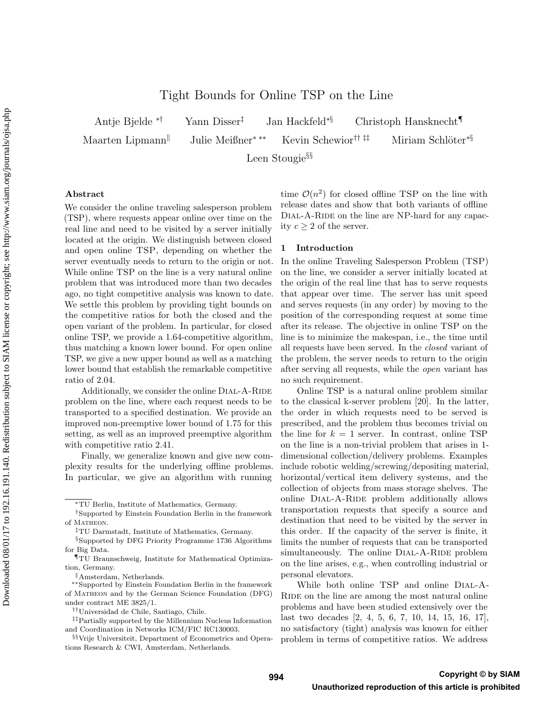# Tight Bounds for Online TSP on the Line

Antje Bjelde ∗† Yann Disser‡ Jan Hackfeld∗§ Christoph Hansknecht¶ Maarten Lipmann<sup>||</sup> Julie Meißner<sup>∗</sup> \*\* Kevin Schewior<sup>†† ‡‡</sup> Miriam Schlöter<sup>∗§</sup> Leen Stougie§§

Abstract

We consider the online traveling salesperson problem (TSP), where requests appear online over time on the real line and need to be visited by a server initially located at the origin. We distinguish between closed and open online TSP, depending on whether the server eventually needs to return to the origin or not. While online TSP on the line is a very natural online problem that was introduced more than two decades ago, no tight competitive analysis was known to date. We settle this problem by providing tight bounds on the competitive ratios for both the closed and the open variant of the problem. In particular, for closed online TSP, we provide a 1.64-competitive algorithm, thus matching a known lower bound. For open online TSP, we give a new upper bound as well as a matching lower bound that establish the remarkable competitive ratio of 2.04.

Additionally, we consider the online DIAL-A-RIDE problem on the line, where each request needs to be transported to a specified destination. We provide an improved non-preemptive lower bound of 1.75 for this setting, as well as an improved preemptive algorithm with competitive ratio 2.41.

Finally, we generalize known and give new complexity results for the underlying offline problems. In particular, we give an algorithm with running

time  $\mathcal{O}(n^2)$  for closed offline TSP on the line with release dates and show that both variants of offline DIAL-A-RIDE on the line are NP-hard for any capacity  $c \geq 2$  of the server.

#### 1 Introduction

In the online Traveling Salesperson Problem (TSP) on the line, we consider a server initially located at the origin of the real line that has to serve requests that appear over time. The server has unit speed and serves requests (in any order) by moving to the position of the corresponding request at some time after its release. The objective in online TSP on the line is to minimize the makespan, i.e., the time until all requests have been served. In the closed variant of the problem, the server needs to return to the origin after serving all requests, while the open variant has no such requirement.

Online TSP is a natural online problem similar to the classical k-server problem [20]. In the latter, the order in which requests need to be served is prescribed, and the problem thus becomes trivial on the line for  $k = 1$  server. In contrast, online TSP on the line is a non-trivial problem that arises in 1 dimensional collection/delivery problems. Examples include robotic welding/screwing/depositing material, horizontal/vertical item delivery systems, and the collection of objects from mass storage shelves. The online DIAL-A-RIDE problem additionally allows transportation requests that specify a source and destination that need to be visited by the server in this order. If the capacity of the server is finite, it limits the number of requests that can be transported simultaneously. The online DIAL-A-RIDE problem on the line arises, e.g., when controlling industrial or personal elevators.

While both online TSP and online Dial-A-RIDE on the line are among the most natural online problems and have been studied extensively over the last two decades [2, 4, 5, 6, 7, 10, 14, 15, 16, 17], no satisfactory (tight) analysis was known for either problem in terms of competitive ratios. We address

<sup>∗</sup>TU Berlin, Institute of Mathematics, Germany.

<sup>†</sup>Supported by Einstein Foundation Berlin in the framework of MATHEON.

<sup>‡</sup>TU Darmstadt, Institute of Mathematics, Germany.

<sup>§</sup>Supported by DFG Priority Programme 1736 Algorithms for Big Data.

<sup>¶</sup>TU Braunschweig, Institute for Mathematical Optimization, Germany.

Amsterdam, Netherlands.

<sup>∗∗</sup>Supported by Einstein Foundation Berlin in the framework of Matheon and by the German Science Foundation (DFG) under contract ME 3825/1.

<sup>††</sup>Universidad de Chile, Santiago, Chile.

<sup>‡‡</sup>Partially supported by the Millennium Nucleus Information and Coordination in Networks ICM/FIC RC130003.

<sup>§§</sup>Vrije Universiteit, Department of Econometrics and Operations Research & CWI, Amsterdam, Netherlands.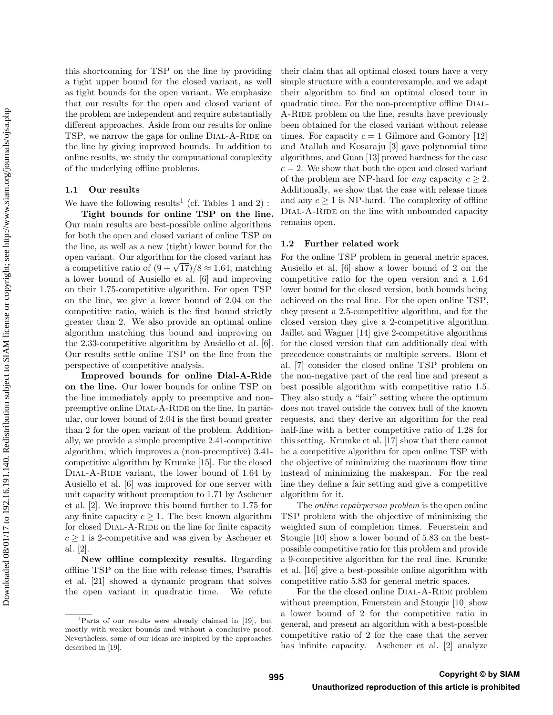this shortcoming for TSP on the line by providing a tight upper bound for the closed variant, as well as tight bounds for the open variant. We emphasize that our results for the open and closed variant of the problem are independent and require substantially different approaches. Aside from our results for online TSP, we narrow the gaps for online DIAL-A-RIDE on the line by giving improved bounds. In addition to online results, we study the computational complexity of the underlying offline problems.

### 1.1 Our results

We have the following results<sup>1</sup> (cf. Tables 1 and 2):

Tight bounds for online TSP on the line. Our main results are best-possible online algorithms for both the open and closed variant of online TSP on the line, as well as a new (tight) lower bound for the open variant. Our algorithm for the closed variant has open variant. Our aigorithm for the closed variant has<br>a competitive ratio of  $(9 + \sqrt{17})/8 \approx 1.64$ , matching a lower bound of Ausiello et al. [6] and improving on their 1.75-competitive algorithm. For open TSP on the line, we give a lower bound of 2.04 on the competitive ratio, which is the first bound strictly greater than 2. We also provide an optimal online algorithm matching this bound and improving on the 2.33-competitive algorithm by Ausiello et al. [6]. Our results settle online TSP on the line from the perspective of competitive analysis.

Improved bounds for online Dial-A-Ride on the line. Our lower bounds for online TSP on the line immediately apply to preemptive and nonpreemptive online DIAL-A-RIDE on the line. In particular, our lower bound of 2.04 is the first bound greater than 2 for the open variant of the problem. Additionally, we provide a simple preemptive 2.41-competitive algorithm, which improves a (non-preemptive) 3.41 competitive algorithm by Krumke [15]. For the closed DIAL-A-RIDE variant, the lower bound of 1.64 by Ausiello et al. [6] was improved for one server with unit capacity without preemption to 1.71 by Ascheuer et al. [2]. We improve this bound further to 1.75 for any finite capacity  $c \geq 1$ . The best known algorithm for closed DIAL-A-RIDE on the line for finite capacity  $c \geq 1$  is 2-competitive and was given by Ascheuer et al. [2].

New offline complexity results. Regarding offline TSP on the line with release times, Psaraftis et al. [21] showed a dynamic program that solves the open variant in quadratic time. We refute their claim that all optimal closed tours have a very simple structure with a counterexample, and we adapt their algorithm to find an optimal closed tour in quadratic time. For the non-preemptive offline Dial-A-RIDE problem on the line, results have previously been obtained for the closed variant without release times. For capacity  $c = 1$  Gilmore and Gomory [12] and Atallah and Kosaraju [3] gave polynomial time algorithms, and Guan [13] proved hardness for the case  $c = 2$ . We show that both the open and closed variant of the problem are NP-hard for *any* capacity  $c \geq 2$ . Additionally, we show that the case with release times and any  $c \geq 1$  is NP-hard. The complexity of offline DIAL-A-RIDE on the line with unbounded capacity remains open.

## 1.2 Further related work

For the online TSP problem in general metric spaces, Ausiello et al. [6] show a lower bound of 2 on the competitive ratio for the open version and a 1.64 lower bound for the closed version, both bounds being achieved on the real line. For the open online TSP, they present a 2.5-competitive algorithm, and for the closed version they give a 2-competitive algorithm. Jaillet and Wagner [14] give 2-competitive algorithms for the closed version that can additionally deal with precedence constraints or multiple servers. Blom et al. [7] consider the closed online TSP problem on the non-negative part of the real line and present a best possible algorithm with competitive ratio 1.5. They also study a "fair" setting where the optimum does not travel outside the convex hull of the known requests, and they derive an algorithm for the real half-line with a better competitive ratio of 1.28 for this setting. Krumke et al. [17] show that there cannot be a competitive algorithm for open online TSP with the objective of minimizing the maximum flow time instead of minimizing the makespan. For the real line they define a fair setting and give a competitive algorithm for it.

The online repairperson problem is the open online TSP problem with the objective of minimizing the weighted sum of completion times. Feuerstein and Stougie [10] show a lower bound of 5.83 on the bestpossible competitive ratio for this problem and provide a 9-competitive algorithm for the real line. Krumke et al. [16] give a best-possible online algorithm with competitive ratio 5.83 for general metric spaces.

For the the closed online DIAL-A-RIDE problem without preemption, Feuerstein and Stougie [10] show a lower bound of 2 for the competitive ratio in general, and present an algorithm with a best-possible competitive ratio of 2 for the case that the server has infinite capacity. Ascheuer et al. [2] analyze

<sup>1</sup>Parts of our results were already claimed in [19], but mostly with weaker bounds and without a conclusive proof. Nevertheless, some of our ideas are inspired by the approaches described in [19].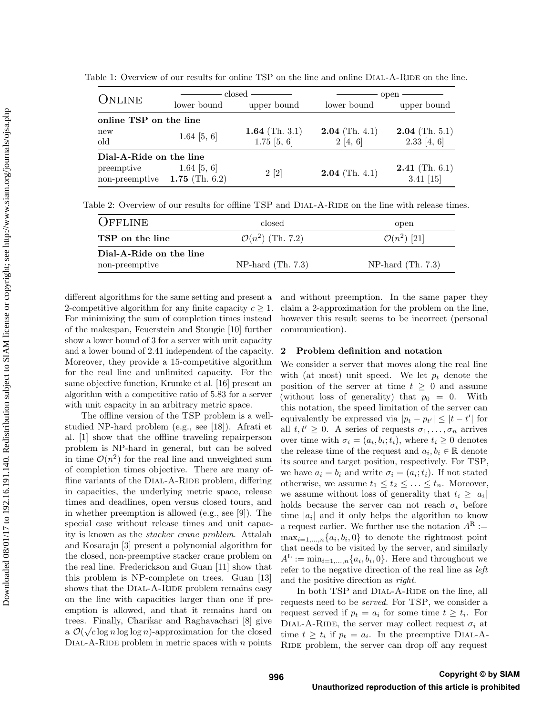| ONLINE                                |                  | $\csc d -$                      | open                        |                                   |  |  |  |  |  |  |
|---------------------------------------|------------------|---------------------------------|-----------------------------|-----------------------------------|--|--|--|--|--|--|
|                                       | lower bound      | upper bound                     | lower bound                 | upper bound                       |  |  |  |  |  |  |
| online TSP on the line                |                  |                                 |                             |                                   |  |  |  |  |  |  |
| new<br>old                            | 1.64 [5, 6]      | 1.64 (Th. 3.1)<br>$1.75$ [5, 6] | $2.04$ (Th. 4.1)<br>2[4, 6] | $2.04$ (Th. 5.1)<br>$2.33$ [4, 6] |  |  |  |  |  |  |
| Dial-A-Ride on the line<br>preemptive | $1.64 \; [5, 6]$ | 2[2]                            | $2.04$ (Th. 4.1)            | $2.41$ (Th. 6.1)                  |  |  |  |  |  |  |
| non-preemptive $1.75$ (Th. 6.2)       |                  |                                 |                             | $3.41$ [15]                       |  |  |  |  |  |  |

Table 2: Overview of our results for offline TSP and DIAL-A-RIDE on the line with release times.

| <b>OFFLINE</b>          | closed                       | open                |
|-------------------------|------------------------------|---------------------|
| TSP on the line         | $\mathcal{O}(n^2)$ (Th. 7.2) | $O(n^2)$ [21]       |
| Dial-A-Ride on the line |                              |                     |
| non-preemptive          | $NP-hard (Th. 7.3)$          | NP-hard $(Th. 7.3)$ |

different algorithms for the same setting and present a 2-competitive algorithm for any finite capacity  $c \geq 1$ . For minimizing the sum of completion times instead of the makespan, Feuerstein and Stougie [10] further show a lower bound of 3 for a server with unit capacity and a lower bound of 2.41 independent of the capacity. Moreover, they provide a 15-competitive algorithm for the real line and unlimited capacity. For the same objective function, Krumke et al. [16] present an algorithm with a competitive ratio of 5.83 for a server with unit capacity in an arbitrary metric space.

The offline version of the TSP problem is a wellstudied NP-hard problem (e.g., see [18]). Afrati et al. [1] show that the offline traveling repairperson problem is NP-hard in general, but can be solved in time  $\mathcal{O}(n^2)$  for the real line and unweighted sum of completion times objective. There are many offline variants of the DIAL-A-RIDE problem, differing in capacities, the underlying metric space, release times and deadlines, open versus closed tours, and in whether preemption is allowed (e.g., see [9]). The special case without release times and unit capacity is known as the stacker crane problem. Attalah and Kosaraju [3] present a polynomial algorithm for the closed, non-preemptive stacker crane problem on the real line. Frederickson and Guan [11] show that this problem is NP-complete on trees. Guan [13] shows that the DIAL-A-RIDE problem remains easy on the line with capacities larger than one if preemption is allowed, and that it remains hard on trees. Finally, Charikar and Raghavachari [8] give √ a  $\mathcal{O}(\sqrt{c}\log n\log\log n)$ -approximation for the closed DIAL-A-RIDE problem in metric spaces with  $n$  points and without preemption. In the same paper they claim a 2-approximation for the problem on the line, however this result seems to be incorrect (personal communication).

### 2 Problem definition and notation

We consider a server that moves along the real line with (at most) unit speed. We let  $p_t$  denote the position of the server at time  $t \geq 0$  and assume (without loss of generality) that  $p_0 = 0$ . With this notation, the speed limitation of the server can equivalently be expressed via  $|p_t - p_{t'}| \leq |t - t'|$  for all  $t, t' \geq 0$ . A series of requests  $\sigma_1, \ldots, \sigma_n$  arrives over time with  $\sigma_i = (a_i, b_i; t_i)$ , where  $t_i \geq 0$  denotes the release time of the request and  $a_i, b_i \in \mathbb{R}$  denote its source and target position, respectively. For TSP, we have  $a_i = b_i$  and write  $\sigma_i = (a_i; t_i)$ . If not stated otherwise, we assume  $t_1 \leq t_2 \leq \ldots \leq t_n$ . Moreover, we assume without loss of generality that  $t_i \geq |a_i|$ holds because the server can not reach  $\sigma_i$  before time  $|a_i|$  and it only helps the algorithm to know a request earlier. We further use the notation  $A^R :=$  $\max_{i=1,\ldots,n} \{a_i, b_i, 0\}$  to denote the rightmost point that needs to be visited by the server, and similarly  $A^{\mathcal{L}} := \min_{i=1,\ldots,n} \{a_i, b_i, 0\}.$  Here and throughout we refer to the negative direction of the real line as left and the positive direction as right.

In both TSP and DIAL-A-RIDE on the line, all requests need to be served. For TSP, we consider a request served if  $p_t = a_i$  for some time  $t \geq t_i$ . For DIAL-A-RIDE, the server may collect request  $\sigma_i$  at time  $t \geq t_i$  if  $p_t = a_i$ . In the preemptive DIAL-A-RIDE problem, the server can drop off any request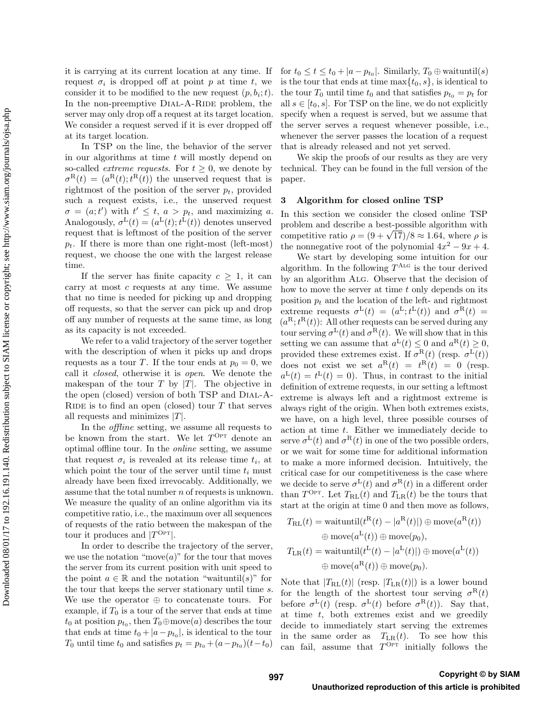it is carrying at its current location at any time. If request  $\sigma_i$  is dropped off at point p at time t, we consider it to be modified to the new request  $(p, b_i; t)$ . In the non-preemptive DIAL-A-RIDE problem, the server may only drop off a request at its target location. We consider a request served if it is ever dropped off at its target location.

In TSP on the line, the behavior of the server in our algorithms at time  $t$  will mostly depend on so-called *extreme requests*. For  $t \geq 0$ , we denote by  $\sigma^{\rm R}(t) = (a^{\rm R}(t); t^{\rm R}(t))$  the unserved request that is rightmost of the position of the server  $p_t$ , provided such a request exists, i.e., the unserved request  $\sigma = (a; t')$  with  $t' \leq t$ ,  $a > p_t$ , and maximizing a. Analogously,  $\sigma^L(t) = (a^L(t); t^L(t))$  denotes unserved request that is leftmost of the position of the server  $p_t$ . If there is more than one right-most (left-most) request, we choose the one with the largest release time.

If the server has finite capacity  $c \geq 1$ , it can carry at most  $c$  requests at any time. We assume that no time is needed for picking up and dropping off requests, so that the server can pick up and drop off any number of requests at the same time, as long as its capacity is not exceeded.

We refer to a valid trajectory of the server together with the description of when it picks up and drops requests as a tour T. If the tour ends at  $p_0 = 0$ , we call it closed, otherwise it is open. We denote the makespan of the tour  $T$  by  $|T|$ . The objective in the open (closed) version of both TSP and Dial-A-RIDE is to find an open (closed) tour  $T$  that serves all requests and minimizes  $|T|$ .

In the offline setting, we assume all requests to be known from the start. We let  $T^{\text{Opt}}$  denote an optimal offline tour. In the online setting, we assume that request  $\sigma_i$  is revealed at its release time  $t_i$ , at which point the tour of the server until time  $t_i$  must already have been fixed irrevocably. Additionally, we assume that the total number  $n$  of requests is unknown. We measure the quality of an online algorithm via its competitive ratio, i.e., the maximum over all sequences of requests of the ratio between the makespan of the tour it produces and  $|T^{\text{Opt}}|$ .

In order to describe the trajectory of the server, we use the notation "move $(a)$ " for the tour that moves the server from its current position with unit speed to the point  $a \in \mathbb{R}$  and the notation "waituntil(s)" for the tour that keeps the server stationary until time s. We use the operator ⊕ to concatenate tours. For example, if  $T_0$  is a tour of the server that ends at time  $t_0$  at position  $p_{t_0}$ , then  $T_0 \oplus \text{move}(a)$  describes the tour that ends at time  $t_0 + |a - p_{t_0}|$ , is identical to the tour  $T_0$  until time  $t_0$  and satisfies  $p_t = p_{t_0} + (a - p_{t_0})(t - t_0)$ 

for  $t_0 \le t \le t_0 + |a - p_{t_0}|$ . Similarly,  $T_0 \oplus$  waituntil(s) is the tour that ends at time  $\max\{t_0, s\}$ , is identical to the tour  $T_0$  until time  $t_0$  and that satisfies  $p_{t_0} = p_t$  for all  $s \in [t_0, s]$ . For TSP on the line, we do not explicitly specify when a request is served, but we assume that the server serves a request whenever possible, i.e., whenever the server passes the location of a request that is already released and not yet served.

We skip the proofs of our results as they are very technical. They can be found in the full version of the paper.

#### 3 Algorithm for closed online TSP

In this section we consider the closed online TSP problem and describe a best-possible algorithm with problem and describe a best-possible algorithm with<br>competitive ratio  $\rho = (9 + \sqrt{17})/8 \approx 1.64$ , where  $\rho$  is the nonnegative root of the polynomial  $4x^2 - 9x + 4$ .

We start by developing some intuition for our algorithm. In the following  $T^{A_{LG}}$  is the tour derived by an algorithm Alg. Observe that the decision of how to move the server at time  $t$  only depends on its position  $p_t$  and the location of the left- and rightmost extreme requests  $\sigma^L(t) = (a^L; t^L(t))$  and  $\sigma^R(t) =$  $(a^{\rm R};t^{\rm R}(t))$ : All other requests can be served during any tour serving  $\sigma^L(t)$  and  $\sigma^R(t)$ . We will show that in this setting we can assume that  $a^L(t) \leq 0$  and  $a^R(t) \geq 0$ , provided these extremes exist. If  $\sigma^R(t)$  (resp.  $\sigma^L(t)$ ) does not exist we set  $a^R(t) = t^R(t) = 0$  (resp.  $a^{\text{L}}(t) = t^{\text{L}}(t) = 0$ . Thus, in contrast to the initial definition of extreme requests, in our setting a leftmost extreme is always left and a rightmost extreme is always right of the origin. When both extremes exists, we have, on a high level, three possible courses of action at time t. Either we immediately decide to serve  $\sigma^L(t)$  and  $\sigma^R(t)$  in one of the two possible orders, or we wait for some time for additional information to make a more informed decision. Intuitively, the critical case for our competitiveness is the case where we decide to serve  $\sigma^L(t)$  and  $\sigma^R(t)$  in a different order than  $T^{\text{OPT}}$ . Let  $T_{\text{RL}}(t)$  and  $T_{\text{LR}}(t)$  be the tours that start at the origin at time 0 and then move as follows,

$$
T_{\rm RL}(t) = \text{waituntil}(t^{\rm R}(t) - |a^{\rm R}(t)|) \oplus \text{move}(a^{\rm R}(t))
$$
  

$$
\oplus \text{ move}(a^{\rm L}(t)) \oplus \text{move}(p_0),
$$
  

$$
T_{\rm LR}(t) = \text{waituntil}(t^{\rm L}(t) - |a^{\rm L}(t)|) \oplus \text{move}(a^{\rm L}(t))
$$
  

$$
\oplus \text{ move}(a^{\rm R}(t)) \oplus \text{move}(p_0).
$$

Note that  $|T_{\text{RL}}(t)|$  (resp.  $|T_{\text{LR}}(t)|$ ) is a lower bound for the length of the shortest tour serving  $\sigma^{\text{R}}(t)$ before  $\sigma^L(t)$  (resp.  $\sigma^L(t)$  before  $\sigma^R(t)$ ). Say that, at time  $t$ , both extremes exist and we greedily decide to immediately start serving the extremes in the same order as  $T_{LR}(t)$ . To see how this can fail, assume that  $T^{\overline{\text{Opt}}}$  initially follows the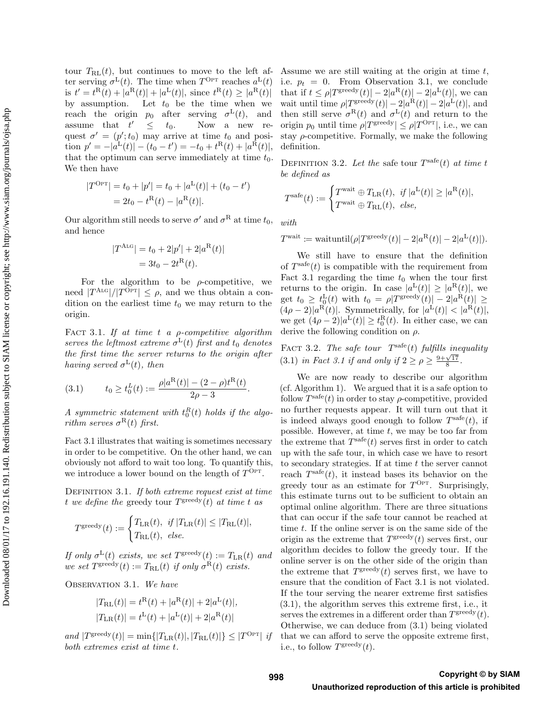tour  $T_{\text{RL}}(t)$ , but continues to move to the left after serving  $\sigma^L(t)$ . The time when  $T^{OPT}$  reaches  $a^L(t)$ is  $t' = t^{R}(t) + |a^{R}(t)| + |a^{L}(t)|$ , since  $t^{R}(t) \geq |a^{R}(t)|$ by assumption. Let  $t_0$  be the time when we reach the origin  $p_0$  after serving  $\sigma^L(t)$ , and assume that  $t'$  $\leq t_0$ . Now a new request  $\sigma' = (p'; t_0)$  may arrive at time  $t_0$  and position  $p' = -|a^{\text{L}}(t)| - (t_0 - t') = -t_0 + t^{\text{R}}(t) + |a^{\text{R}}(t)|,$ that the optimum can serve immediately at time  $t_0$ . We then have

$$
|T^{\text{OPT}}| = t_0 + |p'| = t_0 + |a^{\text{L}}(t)| + (t_0 - t')
$$
  
=  $2t_0 - t^{\text{R}}(t) - |a^{\text{R}}(t)|$ .

Our algorithm still needs to serve  $\sigma'$  and  $\sigma^R$  at time  $t_0$ , and hence

$$
|T^{\text{ALG}}| = t_0 + 2|p'| + 2|a^{\text{R}}(t)|
$$
  
= 3t<sub>0</sub> - 2t<sup>R</sup>(t).

For the algorithm to be  $\rho$ -competitive, we need  $|T^{\text{Alg}}|/|T^{\text{Opt}}| \leq \rho$ , and we thus obtain a condition on the earliest time  $t_0$  we may return to the origin.

FACT 3.1. If at time t a  $\rho$ -competitive algorithm serves the leftmost extreme  $\sigma^L(t)$  first and  $t_0$  denotes the first time the server returns to the origin after having served  $\sigma^L(t)$ , then

(3.1) 
$$
t_0 \ge t_0^L(t) := \frac{\rho |a^R(t)| - (2 - \rho)t^R(t)}{2\rho - 3}.
$$

A symmetric statement with  $t_0^R(t)$  holds if the algorithm serves  $\sigma^{R}(t)$  first.

Fact 3.1 illustrates that waiting is sometimes necessary in order to be competitive. On the other hand, we can obviously not afford to wait too long. To quantify this, we introduce a lower bound on the length of  $T^{\text{Opt}}$ .

DEFINITION 3.1. If both extreme request exist at time t we define the greedy tour  $T^{\text{greedy}}(t)$  at time t as

$$
T^{\text{greedy}}(t) := \begin{cases} T_{\text{LR}}(t), & \text{if } |T_{\text{LR}}(t)| \leq |T_{\text{RL}}(t)|, \\ T_{\text{RL}}(t), & \text{else.} \end{cases}
$$

If only  $\sigma^{\mathcal{L}}(t)$  exists, we set  $T^{\text{greedy}}(t) := T_{\mathcal{L}\mathcal{R}}(t)$  and we set  $T^{\text{greedy}}(t) := T_{\text{RL}}(t)$  if only  $\sigma^{\text{R}}(t)$  exists.

OBSERVATION 3.1. We have

$$
|T_{\rm RL}(t)| = t^{\rm R}(t) + |a^{\rm R}(t)| + 2|a^{\rm L}(t)|,
$$
  

$$
|T_{\rm LR}(t)| = t^{\rm L}(t) + |a^{\rm L}(t)| + 2|a^{\rm R}(t)|
$$

and  $|T^{\text{greedy}}(t)| = \min\{|T_{LR}(t)|, |T_{RL}(t)|\} \leq |T^{\text{Opt}}|$  if both extremes exist at time t.

Assume we are still waiting at the origin at time t, i.e.  $p_t = 0$ . From Observation 3.1, we conclude that if  $t \leq \rho |T^{\text{greedy}}(t)| - 2|a^{\text{R}}(t)| - 2|a^{\text{L}}(t)|$ , we can wait until time  $\rho |T^{\text{greedy}}(t)| - 2|a^{\text{R}}(t)| - 2|a^{\text{L}}(t)|$ , and then still serve  $\sigma^{\rm R}(t)$  and  $\sigma^{\rm L}(t)$  and return to the origin  $p_0$  until time  $\rho|T^{\text{greedy}}| \leq \rho|T^{\text{Opt}}|$ , i.e., we can stay  $\rho$ -competitive. Formally, we make the following definition.

DEFINITION 3.2. Let the safe tour  $T^{\text{safe}}(t)$  at time t be defined as

$$
T^{\mathrm{safe}}(t) := \begin{cases} T^{\mathrm{wait}} \oplus T_{\mathrm{LR}}(t), & \text{if } |a^{\mathrm{L}}(t)| \ge |a^{\mathrm{R}}(t)|, \\ T^{\mathrm{wait}} \oplus T_{\mathrm{RL}}(t), & \text{else,} \end{cases}
$$

with

$$
T^{\text{wait}} \coloneqq \text{waituntil}(\rho | T^{\text{greedy}}(t) | - 2|a^{\text{R}}(t) | - 2|a^{\text{L}}(t)|).
$$

We still have to ensure that the definition of  $T<sup>safe</sup>(t)$  is compatible with the requirement from Fact 3.1 regarding the time  $t_0$  when the tour first returns to the origin. In case  $|a^{\text{L}}(t)| \geq |a^{\text{R}}(t)|$ , we get  $t_0 \geq t_0^{\text{L}}(t)$  with  $t_0 = \rho |T^{\text{greedy}}(t)| - 2|a^{\text{R}}(t)| \geq$  $(4\rho-2)|a^{\overline{R}}(t)|$ . Symmetrically, for  $|a^{\overline{L}}(t)| < |a^{\overline{R}}(t)|$ , we get  $(4\rho - 2)|a^L(t)| \ge t_0^R(t)$ . In either case, we can derive the following condition on  $\rho$ .

FACT 3.2. The safe tour  $T^{\text{safe}}(t)$  fulfills inequality (3.1) in Fact 3.1 if and only if  $2 \ge \rho \ge \frac{9+\sqrt{17}}{8}$ .

We are now ready to describe our algorithm (cf. Algorithm 1). We argued that it is a safe option to follow  $T^{\text{safe}}(t)$  in order to stay  $\rho$ -competitive, provided no further requests appear. It will turn out that it is indeed always good enough to follow  $T<sup>safe</sup>(t)$ , if possible. However, at time  $t$ , we may be too far from the extreme that  $T^{\text{safe}}(t)$  serves first in order to catch up with the safe tour, in which case we have to resort to secondary strategies. If at time  $t$  the server cannot reach  $T<sup>safe</sup>(t)$ , it instead bases its behavior on the greedy tour as an estimate for  $T^{OPT}$ . Surprisingly, this estimate turns out to be sufficient to obtain an optimal online algorithm. There are three situations that can occur if the safe tour cannot be reached at time t. If the online server is on the same side of the origin as the extreme that  $T^{\text{greedy}}(t)$  serves first, our algorithm decides to follow the greedy tour. If the online server is on the other side of the origin than the extreme that  $T^{\text{greedy}}(t)$  serves first, we have to ensure that the condition of Fact 3.1 is not violated. If the tour serving the nearer extreme first satisfies (3.1), the algorithm serves this extreme first, i.e., it serves the extremes in a different order than  $T^{\text{greedy}}(t)$ . Otherwise, we can deduce from (3.1) being violated that we can afford to serve the opposite extreme first, i.e., to follow  $T^{\text{greedy}}(t)$ .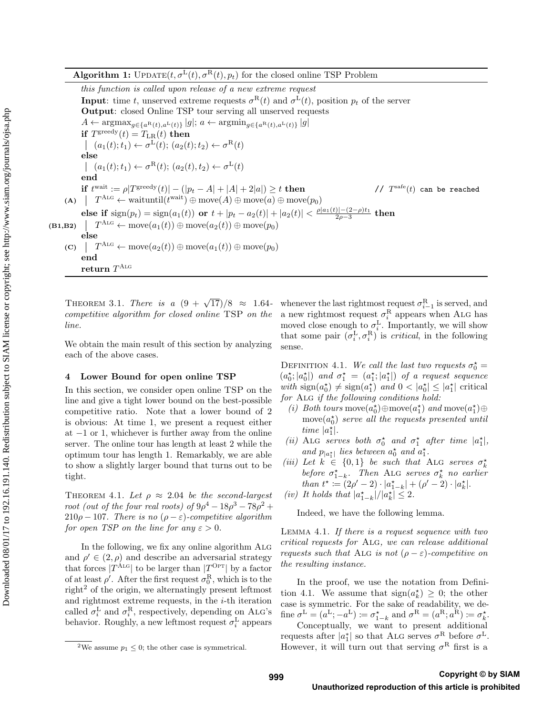this function is called upon release of a new extreme request **Input:** time t, unserved extreme requests  $\sigma^R(t)$  and  $\sigma^L(t)$ , position  $p_t$  of the server Output: closed Online TSP tour serving all unserved requests  $A \leftarrow \arg\!\max_{q \in \{a^R(t), a^L(t)\}} |g|; a \leftarrow \arg\!\min_{q \in \{a^R(t), a^L(t)\}} |g|$ if  $T^{\text{greedy}}(t) = T_{\text{LR}}(t)$  then  $(a_1(t); t_1) \leftarrow \sigma^L(t); (a_2(t); t_2) \leftarrow \sigma^R(t)$ else  $(a_1(t); t_1) \leftarrow \sigma^R(t); (a_2(t), t_2) \leftarrow \sigma^L(t)$ end if  $t^{\text{wait}} := \rho |T^{\text{greedy}}(t)| - (|p_t - A| + |A| + 2|a|) \ge t$  then // T //  $T^{\text{safe}}(t)$  can be reached (A)  $T^{\text{ALG}} \leftarrow \text{waituntil}(t^{\text{wait}}) \oplus \text{move}(A) \oplus \text{move}(a) \oplus \text{move}(p_0)$ else if  $\text{sign}(p_t) = \text{sign}(a_1(t))$  or  $t + |p_t - a_2(t)| + |a_2(t)| < \frac{\rho |a_1(t)| - (2 - \rho)t_1}{2\rho - 3}$  then  $(B1,B2)$  $T^{\text{Alg}} \leftarrow \text{move}(a_1(t)) \oplus \text{move}(a_2(t)) \oplus \text{move}(p_0)$ else (C)  $\mid T^{\text{ALG}} \leftarrow \text{move}(a_2(t)) \oplus \text{move}(a_1(t)) \oplus \text{move}(p_0)$ end  $\mathbf{return} \; T^{\mathrm{Alg}}$ 

competitive algorithm for closed online TSP on the line.

We obtain the main result of this section by analyzing each of the above cases.

## 4 Lower Bound for open online TSP

In this section, we consider open online TSP on the line and give a tight lower bound on the best-possible competitive ratio. Note that a lower bound of 2 is obvious: At time 1, we present a request either at  $-1$  or 1, whichever is further away from the online server. The online tour has length at least 2 while the optimum tour has length 1. Remarkably, we are able to show a slightly larger bound that turns out to be tight.

THEOREM 4.1. Let  $\rho \approx 2.04$  be the second-largest root (out of the four real roots) of  $9\rho^4 - 18\rho^3 - 78\rho^2 +$  $210\rho - 107$ . There is no  $(\rho - \varepsilon)$ -competitive algorithm for open TSP on the line for any  $\varepsilon > 0$ .

In the following, we fix any online algorithm ALG and  $\rho' \in (2,\rho)$  and describe an adversarial strategy that forces  $|T^{\text{A}_{\text{LG}}}|$  to be larger than  $|T^{\text{Opt}}|$  by a factor of at least  $\rho'$ . After the first request  $\sigma_0^R$ , which is to the right<sup>2</sup> of the origin, we alternatingly present leftmost and rightmost extreme requests, in the  $i$ -th iteration called  $\sigma_i^L$  and  $\sigma_i^R$ , respectively, depending on ALG's behavior. Roughly, a new leftmost request  $\sigma_i^{\rm L}$  appears

THEOREM 3.1. There is a  $(9 + \sqrt{17})/8 \approx 1.64$ - whenever the last rightmost request  $\sigma_{i-1}^R$  is served, and a new rightmost request  $\sigma_i^{\text{R}}$  appears when ALG has moved close enough to  $\sigma_i^L$ . Importantly, we will show that some pair  $(\sigma_i^{\rm L}, \sigma_i^{\rm R})$  is *critical*, in the following sense.

> DEFINITION 4.1. We call the last two requests  $\sigma_0^* =$  $(a_0^{\star}; |a_0^{\star}|)$  and  $\sigma_1^{\star} = (a_1^{\star}; |a_1^{\star}|)$  of a request sequence with  $sign(a_0^{\star}) \neq sign(a_1^{\star})$  and  $0 < |a_0^{\star}| \leq |a_1^{\star}|$  critical for ALG if the following conditions hold:

- (i) Both tours move $(a_0^{\star}) \oplus \text{move}(a_1^{\star})$  and move $(a_1^{\star}) \oplus$  $\text{move}(a_0^{\star})$  serve all the requests presented until time  $|a_1^{\star}|$ .
- (ii) ALG serves both  $\sigma_0^{\star}$  and  $\sigma_1^{\star}$  after time  $|a_1^{\star}|$ , and  $p_{|a_1^{\star}|}$  lies between  $a_0^{\star}$  and  $a_1^{\star}$ .
- (iii) Let  $k \in \{0,1\}$  be such that ALG serves  $\sigma_k^*$ before  $\sigma_{1-k}^{\star}$ . Then ALG serves  $\sigma_k^{\star}$  no earlier than  $t^* := (2\rho' - 2) \cdot |a_{1-k}^*| + (\rho' - 2) \cdot |a_k^*|$ .
- (iv) It holds that  $|a^*_{1-k}|/|a^*_{k}| \leq 2$ .

Indeed, we have the following lemma.

Lemma 4.1. If there is a request sequence with two critical requests for Alg, we can release additional requests such that ALG is not  $(\rho - \varepsilon)$ -competitive on the resulting instance.

In the proof, we use the notation from Definition 4.1. We assume that  $sign(a_k^*) \geq 0$ ; the other case is symmetric. For the sake of readability, we define  $\sigma^{\mathcal{L}} = (a^{\mathcal{L}}; -a^{\mathcal{L}}) \coloneqq \sigma_{1-k}^{\star}$  and  $\sigma^{\mathcal{R}} = (a^{\mathcal{R}}; a^{\mathcal{R}}) \coloneqq \sigma_k^{\star}$ .

Conceptually, we want to present additional requests after  $|a_1^*|$  so that ALG serves  $\sigma^R$  before  $\sigma^L$ . However, it will turn out that serving  $\sigma^R$  first is a

<sup>&</sup>lt;sup>2</sup>We assume  $p_1 \leq 0$ ; the other case is symmetrical.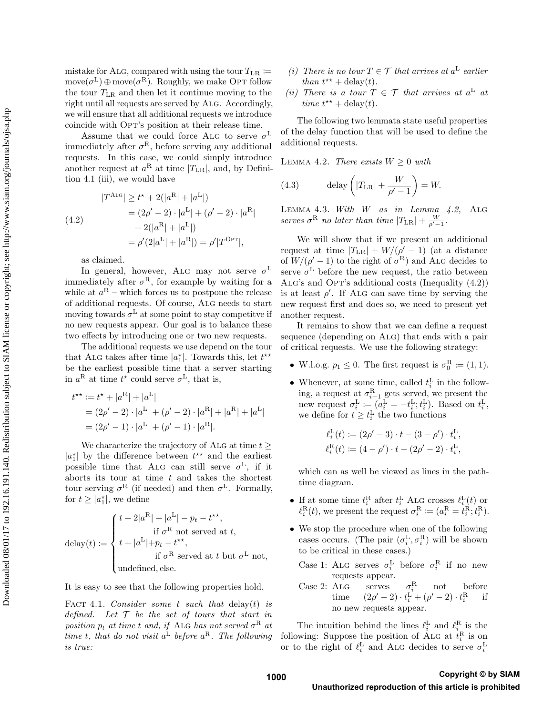mistake for ALG, compared with using the tour  $T_{LR} \coloneqq$  $move(\sigma^L) \oplus move(\sigma^R)$ . Roughly, we make OPT follow the tour  $T_{LR}$  and then let it continue moving to the right until all requests are served by ALG. Accordingly, we will ensure that all additional requests we introduce coincide with OPT's position at their release time.

Assume that we could force ALG to serve  $\sigma^L$ immediately after  $\sigma^R$ , before serving any additional requests. In this case, we could simply introduce another request at  $a^R$  at time  $|T_{LR}|$ , and, by Definition 4.1 (iii), we would have

(4.2)  
\n
$$
|T^{\text{ALG}}| \ge t^* + 2(|a^{\text{R}}| + |a^{\text{L}}|)
$$
\n
$$
= (2\rho' - 2) \cdot |a^{\text{L}}| + (\rho' - 2) \cdot |a^{\text{R}}|
$$
\n
$$
+ 2(|a^{\text{R}}| + |a^{\text{L}}|)
$$
\n
$$
= \rho'(2|a^{\text{L}}| + |a^{\text{R}}|) = \rho'|T^{\text{OPT}}|,
$$

as claimed.

In general, however, ALG may not serve  $\sigma^L$ immediately after  $\sigma^R$ , for example by waiting for a while at  $a^{R}$  – which forces us to postpone the release of additional requests. Of course, Alg needs to start moving towards  $\sigma^L$  at some point to stay competitve if no new requests appear. Our goal is to balance these two effects by introducing one or two new requests.

The additional requests we use depend on the tour that ALG takes after time  $|a_1^*|$ . Towards this, let  $t^{**}$ be the earliest possible time that a server starting in  $a^R$  at time  $t^*$  could serve  $\sigma^L$ , that is,

$$
t^{\star\star} := t^{\star} + |a^{R}| + |a^{L}|
$$
  
=  $(2\rho' - 2) \cdot |a^{L}| + (\rho' - 2) \cdot |a^{R}| + |a^{R}| + |a^{L}|$   
=  $(2\rho' - 1) \cdot |a^{L}| + (\rho' - 1) \cdot |a^{R}|.$ 

We characterize the trajectory of ALG at time  $t >$  $|a_1^{\star}|$  by the difference between  $t^{\star\star}$  and the earliest possible time that ALG can still serve  $\sigma^L$ , if it aborts its tour at time  $t$  and takes the shortest tour serving  $\sigma^R$  (if needed) and then  $\sigma^L$ . Formally, for  $t \geq |a_1^*|$ , we define

$$
\text{delay}(t) \coloneqq \begin{cases} t + 2|a^{\text{R}}| + |a^{\text{L}}| - p_t - t^{\star\star}, \\ \text{if } \sigma^{\text{R}} \text{ not served at } t, \\ t + |a^{\text{L}}| + p_t - t^{\star\star}, \\ \text{if } \sigma^{\text{R}} \text{ served at } t \text{ but } \sigma^{\text{L}} \text{ not,} \\ \text{undefined, else.} \end{cases}
$$

It is easy to see that the following properties hold.

FACT 4.1. Consider some t such that delay(t) is defined. Let  $\mathcal T$  be the set of tours that start in position  $p_t$  at time t and, if ALG has not served  $\sigma^R$  at time t, that do not visit  $a^L$  before  $a^R$ . The following is true:

- (i) There is no tour  $T \in \mathcal{T}$  that arrives at  $a^L$  earlier than  $t^{\star\star}$  + delay(t).
- (ii) There is a tour  $T \in \mathcal{T}$  that arrives at  $a^L$  at time  $t^{**}$  + delay(t).

The following two lemmata state useful properties of the delay function that will be used to define the additional requests.

LEMMA 4.2. There exists  $W \geq 0$  with

(4.3) 
$$
\text{delay}\left(|T_{\text{LR}}| + \frac{W}{\rho' - 1}\right) = W.
$$

Lemma 4.3. With W as in Lemma 4.2, Alg serves  $\sigma^R$  no later than time  $|T_{LR}| + \frac{W}{\rho' - 1}$ .

We will show that if we present an additional request at time  $|T_{LR}| + W/(\rho' - 1)$  (at a distance of  $W/(\rho'-1)$  to the right of  $\sigma^{R}$ ) and ALG decides to serve  $\sigma^L$  before the new request, the ratio between ALG's and OPT's additional costs (Inequality  $(4.2)$ ) is at least  $\rho'$ . If ALG can save time by serving the new request first and does so, we need to present yet another request.

It remains to show that we can define a request sequence (depending on ALG) that ends with a pair of critical requests. We use the following strategy:

- W.l.o.g.  $p_1 \leq 0$ . The first request is  $\sigma_0^R \coloneqq (1, 1)$ .
- Whenever, at some time, called  $t_i^{\text{L}}$  in the following, a request at  $\sigma_{i-1}^R$  gets served, we present the new request  $\sigma_i^{\mathcal{L}} \coloneqq (a_i^{\mathcal{L}} = -t_i^{\mathcal{L}}; t_i^{\mathcal{L}})$ . Based on  $t_i^{\mathcal{L}}$ , we define for  $t \geq t_i^{\text{L}}$  the two functions

$$
\ell_i^{\mathcal{L}}(t) := (2\rho' - 3) \cdot t - (3 - \rho') \cdot t_i^{\mathcal{L}},
$$
  

$$
\ell_i^{\mathcal{R}}(t) := (4 - \rho') \cdot t - (2\rho' - 2) \cdot t_i^{\mathcal{L}},
$$

which can as well be viewed as lines in the pathtime diagram.

- If at some time  $t_i^{\text{R}}$  after  $t_i^{\text{L}}$  ALG crosses  $\ell_i^{\text{L}}(t)$  or  $\ell_i^{\text{R}}(t)$ , we present the request  $\sigma_i^{\text{R}} \coloneqq (a_i^{\text{R}} = t_i^{\text{R}}; t_i^{\text{R}})$ .
- We stop the procedure when one of the following cases occurs. (The pair  $(\sigma_i^L, \sigma_i^R)$  will be shown to be critical in these cases.)
	- Case 1: ALG serves  $\sigma_i^{\text{L}}$  before  $\sigma_i^{\text{R}}$  if no new
	- $\begin{minipage}{.4\linewidth} \textbf{c} \textbf{a} \textbf{s} \textbf{e} \textbf{a} \textbf{a} \textbf{b} \textbf{a} \textbf{b} \textbf{c} \textbf{a} \textbf{b} \textbf{c} \textbf{a} \textbf{b} \textbf{c} \textbf{b} \textbf{c} \textbf{a} \textbf{b} \textbf{c} \textbf{b} \textbf{c} \textbf{b} \textbf{c} \textbf{c} \textbf{b} \textbf{c} \textbf{c} \textbf{b} \textbf{c} \textbf{c} \textbf{b} \textbf{c} \textbf{c$ Case 2: ALG serves  $\sigma_i^{\text{R}}$  not before time  $(2\rho' - 2) \cdot t_i^{\text{L}} + (\rho' - 2) \cdot t_i^{\text{R}}$  if no new requests appear.

The intuition behind the lines  $\ell_i^{\text{L}}$  and  $\ell_i^{\text{R}}$  is the following: Suppose the position of ALG at  $\tilde{t}_i^{\text{R}}$  is on or to the right of  $\ell_i^{\text{L}}$  and ALG decides to serve  $\sigma_i^{\text{L}}$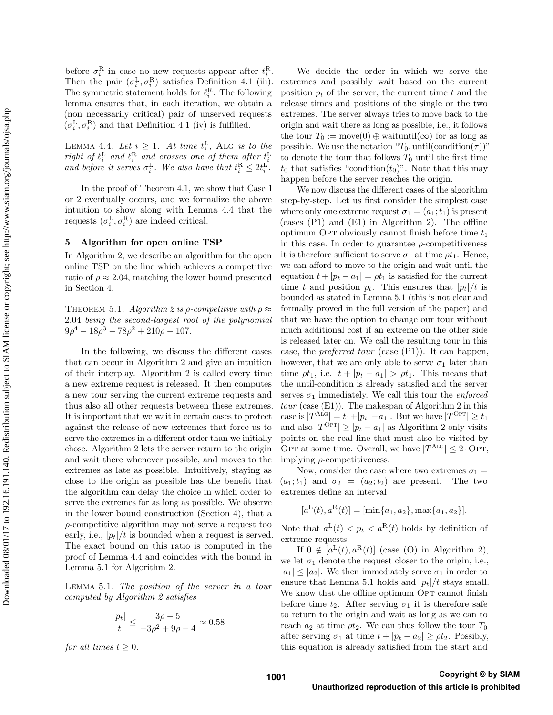before  $\sigma_i^{\rm R}$  in case no new requests appear after  $t_i^{\rm R}$ . Then the pair  $(\sigma_i^{\rm L}, \sigma_i^{\rm R})$  satisfies Definition 4.1 (iii). The symmetric statement holds for  $\ell_i^{\text{R}}$ . The following lemma ensures that, in each iteration, we obtain a (non necessarily critical) pair of unserved requests  $(\sigma_i^{\rm L}, \sigma_i^{\rm R})$  and that Definition 4.1 (iv) is fulfilled.

LEMMA 4.4. Let  $i \geq 1$ . At time  $t_i^L$ , ALG is to the right of  $\ell_i^{\textrm{L}}$  and  $\ell_i^{\textrm{R}}$  and crosses one of them after  $t_i^{\textrm{L}}$ and before it serves  $\sigma_i^L$ . We also have that  $t_i^R \leq 2t_i^L$ .

In the proof of Theorem 4.1, we show that Case 1 or 2 eventually occurs, and we formalize the above intuition to show along with Lemma 4.4 that the requests  $(\sigma_i^{\text{L}}, \sigma_i^{\text{R}})$  are indeed critical.

#### 5 Algorithm for open online TSP

In Algorithm 2, we describe an algorithm for the open online TSP on the line which achieves a competitive ratio of  $\rho \approx 2.04$ , matching the lower bound presented in Section 4.

THEOREM 5.1. Algorithm 2 is  $\rho$ -competitive with  $\rho \approx$ 2.04 being the second-largest root of the polynomial  $9\rho^4 - 18\rho^3 - 78\rho^2 + 210\rho - 107.$ 

In the following, we discuss the different cases that can occur in Algorithm 2 and give an intuition of their interplay. Algorithm 2 is called every time a new extreme request is released. It then computes a new tour serving the current extreme requests and thus also all other requests between these extremes. It is important that we wait in certain cases to protect against the release of new extremes that force us to serve the extremes in a different order than we initially chose. Algorithm 2 lets the server return to the origin and wait there whenever possible, and moves to the extremes as late as possible. Intuitively, staying as close to the origin as possible has the benefit that the algorithm can delay the choice in which order to serve the extremes for as long as possible. We observe in the lower bound construction (Section 4), that a  $\rho$ -competitive algorithm may not serve a request too early, i.e.,  $|p_t|/t$  is bounded when a request is served. The exact bound on this ratio is computed in the proof of Lemma 4.4 and coincides with the bound in Lemma 5.1 for Algorithm 2.

Lemma 5.1. The position of the server in a tour computed by Algorithm 2 satisfies

$$
\frac{|p_t|}{t} \le \frac{3\rho - 5}{-3\rho^2 + 9\rho - 4} \approx 0.58
$$

for all times  $t \geq 0$ .

We decide the order in which we serve the extremes and possibly wait based on the current position  $p_t$  of the server, the current time t and the release times and positions of the single or the two extremes. The server always tries to move back to the origin and wait there as long as possible, i.e., it follows the tour  $T_0 := \text{move}(0) \oplus \text{waitutil}(\infty)$  for as long as possible. We use the notation " $T_0$ . until(condition( $\tau$ )" to denote the tour that follows  $T_0$  until the first time  $t_0$  that satisfies "condition( $t_0$ )". Note that this may happen before the server reaches the origin.

We now discuss the different cases of the algorithm step-by-step. Let us first consider the simplest case where only one extreme request  $\sigma_1 = (a_1; t_1)$  is present (cases (P1) and (E1) in Algorithm 2). The offline optimum OPT obviously cannot finish before time  $t_1$ in this case. In order to guarantee  $\rho$ -competitiveness it is therefore sufficient to serve  $\sigma_1$  at time  $\rho t_1$ . Hence, we can afford to move to the origin and wait until the equation  $t + |p_t - a_1| = \rho t_1$  is satisfied for the current time t and position  $p_t$ . This ensures that  $|p_t|/t$  is bounded as stated in Lemma 5.1 (this is not clear and formally proved in the full version of the paper) and that we have the option to change our tour without much additional cost if an extreme on the other side is released later on. We call the resulting tour in this case, the *preferred tour* (case  $(P1)$ ). It can happen, however, that we are only able to serve  $\sigma_1$  later than time  $\rho t_1$ , i.e.  $t + |p_t - a_1| > \rho t_1$ . This means that the until-condition is already satisfied and the server serves  $\sigma_1$  immediately. We call this tour the *enforced* tour (case (E1)). The makespan of Algorithm 2 in this case is  $|T^{\text{Alg}}| = t_1 + |p_{t_1} - a_1|$ . But we have  $|T^{\text{Opt}}| \ge t_1$ and also  $|T^{\text{Opt}}| \geq |p_t - a_1|$  as Algorithm 2 only visits points on the real line that must also be visited by OPT at some time. Overall, we have  $|T^{\text{ALG}}| \leq 2 \cdot \text{OPT}$ , implying  $\rho$ -competitiveness.

Now, consider the case where two extremes  $\sigma_1 =$  $(a_1;t_1)$  and  $\sigma_2 = (a_2;t_2)$  are present. The two extremes define an interval

$$
[a^{L}(t), a^{R}(t)] = [\min\{a_1, a_2\}, \max\{a_1, a_2\}].
$$

Note that  $a^L(t) < p_t < a^R(t)$  holds by definition of extreme requests.

If  $0 \notin [a^L(t), a^R(t)]$  (case (O) in Algorithm 2), we let  $\sigma_1$  denote the request closer to the origin, i.e.,  $|a_1| \leq |a_2|$ . We then immediately serve  $\sigma_1$  in order to ensure that Lemma 5.1 holds and  $|p_t|/t$  stays small. We know that the offline optimum OPT cannot finish before time  $t_2$ . After serving  $\sigma_1$  it is therefore safe to return to the origin and wait as long as we can to reach  $a_2$  at time  $\rho t_2$ . We can thus follow the tour  $T_0$ after serving  $\sigma_1$  at time  $t + |p_t - a_2| \ge \rho t_2$ . Possibly, this equation is already satisfied from the start and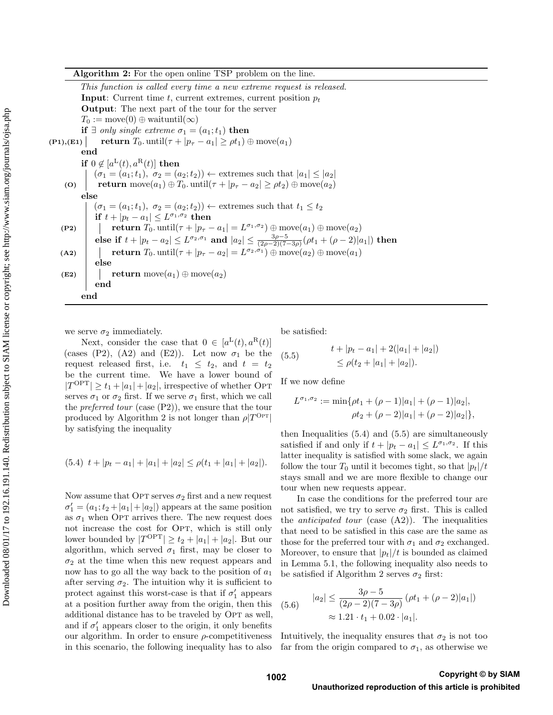| Algorithm 2: For the open online TSP problem on the line. |  |  |  |  |  |  |  |  |  |
|-----------------------------------------------------------|--|--|--|--|--|--|--|--|--|
|-----------------------------------------------------------|--|--|--|--|--|--|--|--|--|

This function is called every time a new extreme request is released. **Input:** Current time  $t$ , current extremes, current position  $p_t$ Output: The next part of the tour for the server  $T_0 := \text{move}(0) \oplus \text{waituntil}(\infty)$ if  $\exists$  only single extreme  $\sigma_1 = (a_1; t_1)$  then (P1),(E1)  $\vert$  return  $T_0$ . until $(\tau + |p_\tau - a_1| \ge \rho t_1) \oplus \text{move}(a_1)$ end if  $0 \notin [a^{\mathcal{L}}(t), a^{\mathcal{R}}(t)]$  then  $(\sigma_1 = (a_1; t_1), \sigma_2 = (a_2; t_2)) \leftarrow$  extremes such that  $|a_1| \leq |a_2|$ (O) return move $(a_1) \oplus T_0$ . until $(\tau + |p_\tau - a_2| \ge \rho t_2) \oplus \text{move}(a_2)$ else  $(\sigma_1 = (a_1; t_1), \sigma_2 = (a_2; t_2)) \leftarrow$  extremes such that  $t_1 \leq t_2$ if  $t + |p_t - a_1| \leq L^{\sigma_1, \sigma_2}$  then (P2)  $\boxed{\phantom{i}}$  return  $T_0$ . until $(\tau + |p_\tau - a_1| = L^{\sigma_1, \sigma_2}) \oplus \text{move}(a_1) \oplus \text{move}(a_2)$ else if  $t + |p_t - a_2| \leq L^{\sigma_2, \sigma_1}$  and  $|a_2| \leq \frac{3\rho - 5}{(2\rho - 2)(7 - 3\rho)}(\rho t_1 + (\rho - 2)|a_1|)$  then (A2)  $\left| \quad \right|$  return  $T_0$ . until $\left( \tau + |p_\tau - a_2| = L^{\sigma_2, \sigma_1} \right) \oplus \text{move}(a_2) \oplus \text{move}(a_1)$ else (E2) return move $(a_1) \oplus \text{move}(a_2)$ end end

we serve  $\sigma_2$  immediately.

Next, consider the case that  $0 \in [a^L(t), a^R(t)]$ (cases (P2), (A2) and (E2)). Let now  $\sigma_1$  be the request released first, i.e.  $t_1 \leq t_2$ , and  $t = t_2$ be the current time. We have a lower bound of  $|T^{\text{OPT}}| \ge t_1 + |a_1| + |a_2|$ , irrespective of whether OPT serves  $\sigma_1$  or  $\sigma_2$  first. If we serve  $\sigma_1$  first, which we call the *preferred tour* (case  $(P2)$ ), we ensure that the tour produced by Algorithm 2 is not longer than  $\rho |T^{\text{OPT}}|$ by satisfying the inequality

$$
(5.4) \t t + |p_t - a_1| + |a_1| + |a_2| \le \rho(t_1 + |a_1| + |a_2|).
$$

Now assume that OPT serves  $\sigma_2$  first and a new request  $\sigma_1' = (a_1; t_2 + |a_1| + |a_2|)$  appears at the same position as  $\sigma_1$  when OPT arrives there. The new request does not increase the cost for OPT, which is still only lower bounded by  $|T^{\text{OPT}}| \geq t_2 + |a_1| + |a_2|$ . But our algorithm, which served  $\sigma_1$  first, may be closer to  $\sigma_2$  at the time when this new request appears and now has to go all the way back to the position of  $a_1$ after serving  $\sigma_2$ . The intuition why it is sufficient to protect against this worst-case is that if  $\sigma'_1$  appears at a position further away from the origin, then this additional distance has to be traveled by OPT as well, and if  $\sigma'_1$  appears closer to the origin, it only benefits our algorithm. In order to ensure  $\rho$ -competitiveness in this scenario, the following inequality has to also

be satisfied:

(5.5) 
$$
t + |p_t - a_1| + 2(|a_1| + |a_2|)
$$

$$
\leq \rho(t_2 + |a_1| + |a_2|).
$$

If we now define

$$
L^{\sigma_1, \sigma_2} := \min\{\rho t_1 + (\rho - 1)|a_1| + (\rho - 1)|a_2|,
$$
  

$$
\rho t_2 + (\rho - 2)|a_1| + (\rho - 2)|a_2|\},\
$$

then Inequalities (5.4) and (5.5) are simultaneously satisfied if and only if  $t + |p_t - a_1| \leq L^{\sigma_1, \sigma_2}$ . If this latter inequality is satisfied with some slack, we again follow the tour  $T_0$  until it becomes tight, so that  $|p_t|/t$ stays small and we are more flexible to change our tour when new requests appear.

In case the conditions for the preferred tour are not satisfied, we try to serve  $\sigma_2$  first. This is called the *anticipated tour* (case  $(A2)$ ). The inequalities that need to be satisfied in this case are the same as those for the preferred tour with  $\sigma_1$  and  $\sigma_2$  exchanged. Moreover, to ensure that  $|p_t|/t$  is bounded as claimed in Lemma 5.1, the following inequality also needs to be satisfied if Algorithm 2 serves  $\sigma_2$  first:

$$
(5.6) \qquad |a_2| \le \frac{3\rho - 5}{(2\rho - 2)(7 - 3\rho)} (\rho t_1 + (\rho - 2)|a_1|)
$$

$$
\approx 1.21 \cdot t_1 + 0.02 \cdot |a_1|.
$$

Intuitively, the inequality ensures that  $\sigma_2$  is not too far from the origin compared to  $\sigma_1$ , as otherwise we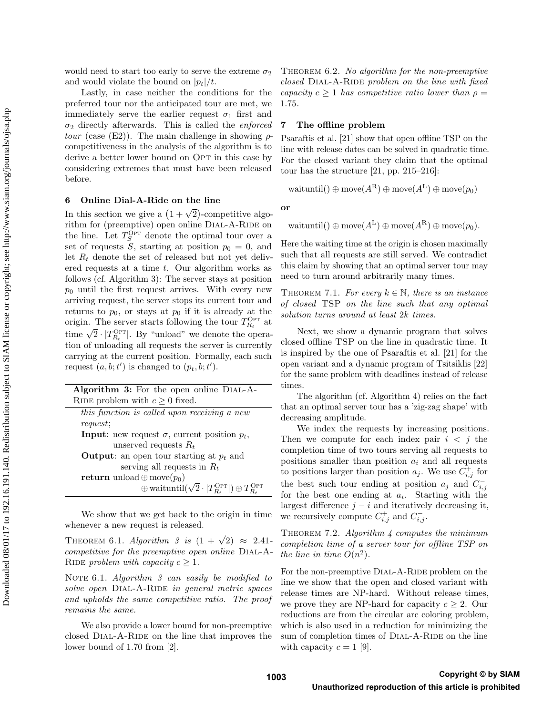would need to start too early to serve the extreme  $\sigma_2$ and would violate the bound on  $|p_t|/t$ .

Lastly, in case neither the conditions for the preferred tour nor the anticipated tour are met, we immediately serve the earlier request  $\sigma_1$  first and  $\sigma_2$  directly afterwards. This is called the *enforced* tour (case (E2)). The main challenge in showing  $\rho$ competitiveness in the analysis of the algorithm is to derive a better lower bound on OPT in this case by considering extremes that must have been released before.

## 6 Online Dial-A-Ride on the line

In this section we give a  $(1 + \sqrt{2})$ -competitive algorithm for (preemptive) open online DIAL-A-RIDE on the line. Let  $T_S^{\tilde{\text{OPT}}}$  denote the optimal tour over a set of requests S, starting at position  $p_0 = 0$ , and let  $R_t$  denote the set of released but not yet delivered requests at a time  $t$ . Our algorithm works as follows (cf. Algorithm 3): The server stays at position  $p_0$  until the first request arrives. With every new arriving request, the server stops its current tour and returns to  $p_0$ , or stays at  $p_0$  if it is already at the origin. The server starts following the tour  $T_{R_t}^{\text{OPT}}$  at origin. The server starts following the tour  $T_{R_t}$  at time  $\sqrt{2} \cdot |T_{R_t}^{\text{OPT}}|$ . By "unload" we denote the operation of unloading all requests the server is currently carrying at the current position. Formally, each such request  $(a, b; t')$  is changed to  $(p_t, b; t')$ .

We show that we get back to the origin in time whenever a new request is released.

THEOREM 6.1. Algorithm 3 is  $(1 + \sqrt{2}) \approx 2.41$ competitive for the preemptive open online DIAL-A-RIDE problem with capacity  $c \geq 1$ .

NOTE 6.1. Algorithm  $\beta$  can easily be modified to solve open DIAL-A-RIDE in general metric spaces and upholds the same competitive ratio. The proof remains the same.

We also provide a lower bound for non-preemptive closed DIAL-A-RIDE on the line that improves the lower bound of 1.70 from [2].

THEOREM 6.2. No algorithm for the non-preemptive  $closed$  DIAL-A-RIDE problem on the line with fixed capacity  $c \geq 1$  has competitive ratio lower than  $\rho =$ 1.75.

## 7 The offline problem

Psaraftis et al. [21] show that open offline TSP on the line with release dates can be solved in quadratic time. For the closed variant they claim that the optimal tour has the structure [21, pp. 215–216]:

 $\text{waituntil}() \oplus \text{move}(A^{\text{R}}) \oplus \text{move}(A^{\text{L}}) \oplus \text{move}(p_0)$ 

or

$$
\mathrm{waituntil()} \oplus \mathrm{move}(A^{\mathrm{L}}) \oplus \mathrm{move}(A^{\mathrm{R}}) \oplus \mathrm{move}(p_0).
$$

Here the waiting time at the origin is chosen maximally such that all requests are still served. We contradict this claim by showing that an optimal server tour may need to turn around arbitrarily many times.

THEOREM 7.1. For every  $k \in \mathbb{N}$ , there is an instance of closed TSP on the line such that any optimal solution turns around at least 2k times.

Next, we show a dynamic program that solves closed offline TSP on the line in quadratic time. It is inspired by the one of Psaraftis et al. [21] for the open variant and a dynamic program of Tsitsiklis [22] for the same problem with deadlines instead of release times.

The algorithm (cf. Algorithm 4) relies on the fact that an optimal server tour has a 'zig-zag shape' with decreasing amplitude.

We index the requests by increasing positions. Then we compute for each index pair  $i < j$  the completion time of two tours serving all requests to positions smaller than position  $a_i$  and all requests to positions larger than position  $a_j$ . We use  $C_{i,j}^+$  for the best such tour ending at position  $a_j$  and  $C_{i,j}^$ for the best one ending at  $a_i$ . Starting with the largest difference  $j - i$  and iteratively decreasing it, we recursively compute  $C_{i,j}^+$  and  $C_{i,j}^-$ .

THEOREM 7.2. Algorithm  $\mu$  computes the minimum completion time of a server tour for offline TSP on the line in time  $O(n^2)$ .

For the non-preemptive DIAL-A-RIDE problem on the line we show that the open and closed variant with release times are NP-hard. Without release times, we prove they are NP-hard for capacity  $c \geq 2$ . Our reductions are from the circular arc coloring problem, which is also used in a reduction for minimizing the sum of completion times of DIAL-A-RIDE on the line with capacity  $c = 1$  [9].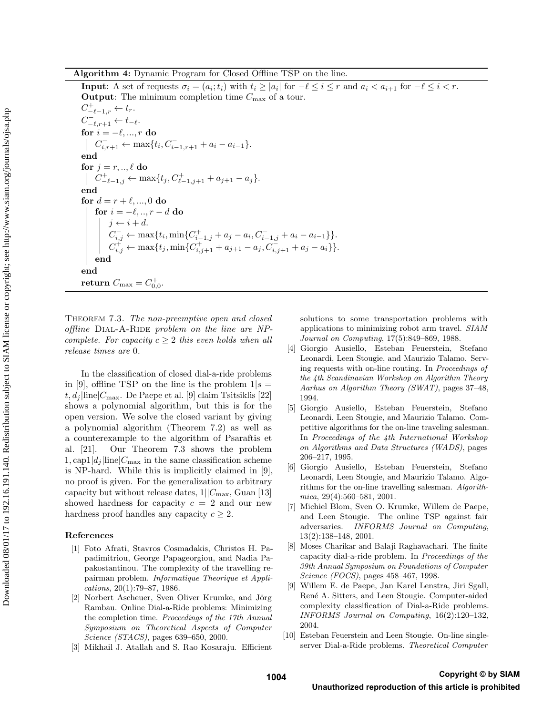**Input:** A set of requests  $\sigma_i = (a_i; t_i)$  with  $t_i \ge |a_i|$  for  $-\ell \le i \le r$  and  $a_i < a_{i+1}$  for  $-\ell \le i < r$ . **Output:** The minimum completion time  $C_{\text{max}}$  of a tour.  $C_{-\ell-1,r}^+ \leftarrow t_r.$  $C_{-\ell,r+1}^- \leftarrow t_{-\ell}.$ for  $i = -\ell, ..., r$  do  $C_{i,r+1}^- \leftarrow \max\{t_i, C_{i-1,r+1}^- + a_i - a_{i-1}\}.$ end for  $j = r, \ldots, \ell$  do  $C_{-\ell-1,j}^+ \leftarrow \max\{t_j, C_{\ell-1,j+1}^+ + a_{j+1} - a_j\}.$ end for  $d = r + \ell, ..., 0$  do for  $i = -\ell, ..., r - d$  do  $j \leftarrow i + d$ .  $C_{i,j}^- \leftarrow \max\{t_i, \min\{C_{i-1,j}^+ + a_j - a_i, C_{i-1,j}^- + a_i - a_{i-1}\}\}.$  $C_{i,j}^{\dagger} \leftarrow \max\{t_j, \min\{C_{i,j+1}^{+} + a_{j+1} - a_j, C_{i,j+1}^{-} + a_j - a_i\}\}.$ end end return  $C_{\text{max}} = C_{0,0}^+$ .

THEOREM 7.3. The non-preemptive open and closed  $of$ ffline DIAL-A-RIDE problem on the line are NPcomplete. For capacity  $c \geq 2$  this even holds when all release times are 0.

In the classification of closed dial-a-ride problems in [9], offline TSP on the line is the problem  $1/s =$  $t, d_j$ line $|C_{\text{max}}$ . De Paepe et al. [9] claim Tsitsiklis [22] shows a polynomial algorithm, but this is for the open version. We solve the closed variant by giving a polynomial algorithm (Theorem 7.2) as well as a counterexample to the algorithm of Psaraftis et al. [21]. Our Theorem 7.3 shows the problem  $1, \text{cap1}|d_j|$ line $|C_{\text{max}}|$  in the same classification scheme is NP-hard. While this is implicitly claimed in [9], no proof is given. For the generalization to arbitrary capacity but without release dates,  $1||C_{\text{max}}$ , Guan [13] showed hardness for capacity  $c = 2$  and our new hardness proof handles any capacity  $c \geq 2$ .

## References

- [1] Foto Afrati, Stavros Cosmadakis, Christos H. Papadimitriou, George Papageorgiou, and Nadia Papakostantinou. The complexity of the travelling repairman problem. Informatique Theorique et Applications, 20(1):79–87, 1986.
- [2] Norbert Ascheuer, Sven Oliver Krumke, and Jörg Rambau. Online Dial-a-Ride problems: Minimizing the completion time. Proceedings of the 17th Annual Symposium on Theoretical Aspects of Computer Science (STACS), pages 639–650, 2000.
- [3] Mikhail J. Atallah and S. Rao Kosaraju. Efficient

solutions to some transportation problems with applications to minimizing robot arm travel. SIAM Journal on Computing, 17(5):849–869, 1988.

- [4] Giorgio Ausiello, Esteban Feuerstein, Stefano Leonardi, Leen Stougie, and Maurizio Talamo. Serving requests with on-line routing. In Proceedings of the 4th Scandinavian Workshop on Algorithm Theory Aarhus on Algorithm Theory (SWAT), pages 37–48, 1994.
- [5] Giorgio Ausiello, Esteban Feuerstein, Stefano Leonardi, Leen Stougie, and Maurizio Talamo. Competitive algorithms for the on-line traveling salesman. In Proceedings of the 4th International Workshop on Algorithms and Data Structures (WADS), pages 206–217, 1995.
- [6] Giorgio Ausiello, Esteban Feuerstein, Stefano Leonardi, Leen Stougie, and Maurizio Talamo. Algorithms for the on-line travelling salesman. Algorithmica, 29(4):560–581, 2001.
- [7] Michiel Blom, Sven O. Krumke, Willem de Paepe, and Leen Stougie. The online TSP against fair adversaries. INFORMS Journal on Computing, 13(2):138–148, 2001.
- [8] Moses Charikar and Balaji Raghavachari. The finite capacity dial-a-ride problem. In Proceedings of the 39th Annual Symposium on Foundations of Computer Science (FOCS), pages 458–467, 1998.
- [9] Willem E. de Paepe, Jan Karel Lenstra, Jiri Sgall, Ren´e A. Sitters, and Leen Stougie. Computer-aided complexity classification of Dial-a-Ride problems. INFORMS Journal on Computing, 16(2):120–132, 2004.
- [10] Esteban Feuerstein and Leen Stougie. On-line singleserver Dial-a-Ride problems. Theoretical Computer